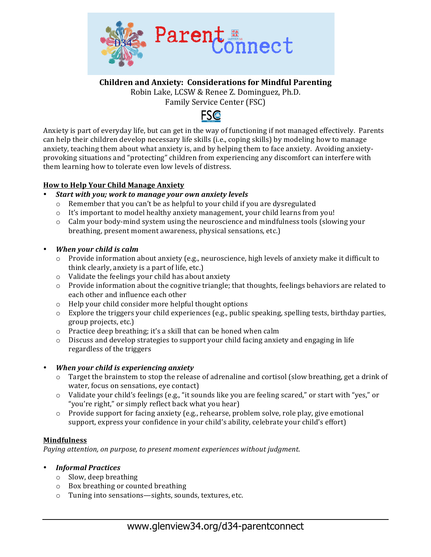

**Children and Anxiety: Considerations for Mindful Parenting** 

Robin Lake, LCSW & Renee Z. Dominguez, Ph.D.

Family Service Center (FSC)



Anxiety is part of everyday life, but can get in the way of functioning if not managed effectively. Parents can help their children develop necessary life skills (i.e., coping skills) by modeling how to manage anxiety, teaching them about what anxiety is, and by helping them to face anxiety. Avoiding anxietyprovoking situations and "protecting" children from experiencing any discomfort can interfere with them learning how to tolerate even low levels of distress.

### **How to Help Your Child Manage Anxiety**

- Start with you: work to manage your own anxiety levels
	- $\circ$  Remember that you can't be as helpful to your child if you are dysregulated
	- o It's important to model healthy anxiety management, your child learns from you!
	- $\circ$  Calm your body-mind system using the neuroscience and mindfulness tools (slowing your breathing, present moment awareness, physical sensations, etc.)
- *When your child is calm* 
	- $\circ$  Provide information about anxiety (e.g., neuroscience, high levels of anxiety make it difficult to think clearly, anxiety is a part of life, etc.)
	- $\circ$  Validate the feelings your child has about anxiety
	- $\circ$  Provide information about the cognitive triangle; that thoughts, feelings behaviors are related to each other and influence each other
	- $\circ$  Help your child consider more helpful thought options
	- $\circ$  Explore the triggers your child experiences (e.g., public speaking, spelling tests, birthday parties, group projects, etc.)
	- $\circ$  Practice deep breathing; it's a skill that can be honed when calm
	- $\circ$  Discuss and develop strategies to support your child facing anxiety and engaging in life regardless of the triggers

# • *When your child is experiencing anxiety*

- Target the brainstem to stop the release of adrenaline and cortisol (slow breathing, get a drink of water, focus on sensations, eve contact)
- o Validate your child's feelings (e.g., "it sounds like you are feeling scared," or start with "yes," or "you're right," or simply reflect back what you hear)
- o Provide support for facing anxiety (e.g., rehearse, problem solve, role play, give emotional support, express your confidence in your child's ability, celebrate your child's effort)

# **Mindfulness**

*Paying attention, on purpose, to present moment experiences without judgment.* 

- *Informal Practices*
	- $\circ$  Slow, deep breathing
	- $\circ$  Box breathing or counted breathing
	- o Tuning into sensations—sights, sounds, textures, etc.